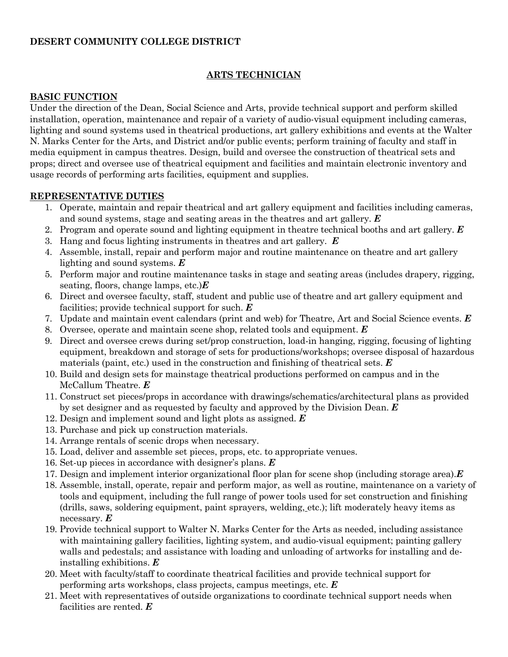### **DESERT COMMUNITY COLLEGE DISTRICT**

### **ARTS TECHNICIAN**

#### **BASIC FUNCTION**

Under the direction of the Dean, Social Science and Arts, provide technical support and perform skilled installation, operation, maintenance and repair of a variety of audio-visual equipment including cameras, lighting and sound systems used in theatrical productions, art gallery exhibitions and events at the Walter N. Marks Center for the Arts, and District and/or public events; perform training of faculty and staff in media equipment in campus theatres. Design, build and oversee the construction of theatrical sets and props; direct and oversee use of theatrical equipment and facilities and maintain electronic inventory and usage records of performing arts facilities, equipment and supplies.

#### **REPRESENTATIVE DUTIES**

- 1. Operate, maintain and repair theatrical and art gallery equipment and facilities including cameras, and sound systems, stage and seating areas in the theatres and art gallery. *E*
- 2. Program and operate sound and lighting equipment in theatre technical booths and art gallery. *E*
- 3. Hang and focus lighting instruments in theatres and art gallery. *E*
- 4. Assemble, install, repair and perform major and routine maintenance on theatre and art gallery lighting and sound systems. *E*
- 5. Perform major and routine maintenance tasks in stage and seating areas (includes drapery, rigging, seating, floors, change lamps, etc.)*E*
- 6. Direct and oversee faculty, staff, student and public use of theatre and art gallery equipment and facilities; provide technical support for such. *E*
- 7. Update and maintain event calendars (print and web) for Theatre, Art and Social Science events. *E*
- 8. Oversee, operate and maintain scene shop, related tools and equipment. *E*
- 9. Direct and oversee crews during set/prop construction, load-in hanging, rigging, focusing of lighting equipment, breakdown and storage of sets for productions/workshops; oversee disposal of hazardous materials (paint, etc.) used in the construction and finishing of theatrical sets. *E*
- 10. Build and design sets for mainstage theatrical productions performed on campus and in the McCallum Theatre. *E*
- 11. Construct set pieces/props in accordance with drawings/schematics/architectural plans as provided by set designer and as requested by faculty and approved by the Division Dean. *E*
- 12. Design and implement sound and light plots as assigned. *E*
- 13. Purchase and pick up construction materials.
- 14. Arrange rentals of scenic drops when necessary.
- 15. Load, deliver and assemble set pieces, props, etc. to appropriate venues.
- 16. Set-up pieces in accordance with designer's plans. *E*
- 17. Design and implement interior organizational floor plan for scene shop (including storage area).*E*
- 18. Assemble, install, operate, repair and perform major, as well as routine, maintenance on a variety of tools and equipment, including the full range of power tools used for set construction and finishing (drills, saws, soldering equipment, paint sprayers, welding, etc.); lift moderately heavy items as necessary. *E*
- 19. Provide technical support to Walter N. Marks Center for the Arts as needed, including assistance with maintaining gallery facilities, lighting system, and audio-visual equipment; painting gallery walls and pedestals; and assistance with loading and unloading of artworks for installing and deinstalling exhibitions. *E*
- 20. Meet with faculty/staff to coordinate theatrical facilities and provide technical support for performing arts workshops, class projects, campus meetings, etc. *E*
- 21. Meet with representatives of outside organizations to coordinate technical support needs when facilities are rented. *E*